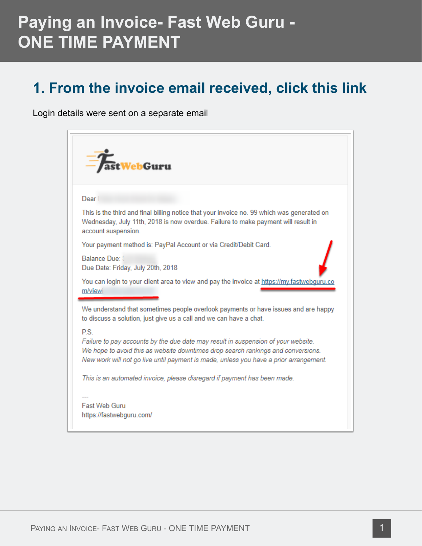#### **1. From the invoice email received, click this link**

Login details were sent on a separate email

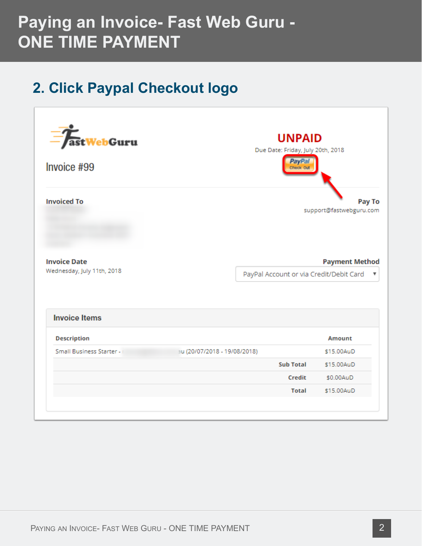### **2. Click Paypal Checkout logo**

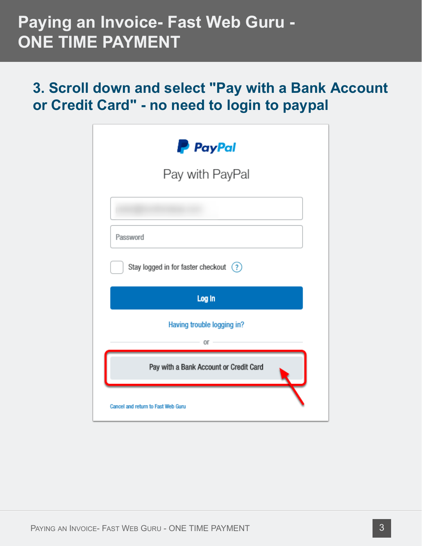#### **3. Scroll down and select "Pay with a Bank Account or Credit Card" - no need to login to paypal**

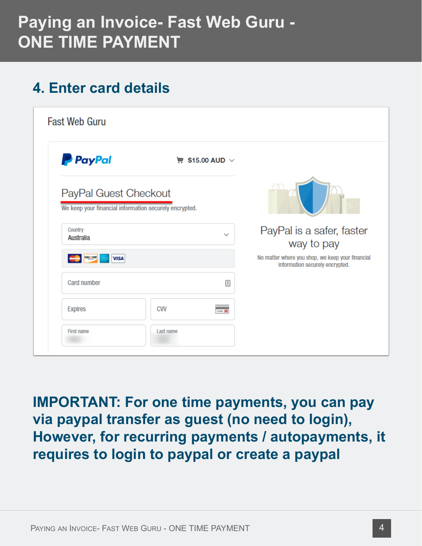### **4. Enter card details**

| <b>P</b> PayPal                                                                 | $\overline{m}$ \$15.00 AUD $\vee$ |                                                                                     |
|---------------------------------------------------------------------------------|-----------------------------------|-------------------------------------------------------------------------------------|
| PayPal Guest Checkout<br>We keep your financial information securely encrypted. |                                   |                                                                                     |
| Country<br>Australia                                                            | $\checkmark$                      | PayPal is a safer, faster<br>way to pay                                             |
| DISC VER<br><b>VISA</b><br><b>MANGER</b>                                        |                                   | No matter where you shop, we keep your financial<br>information securely encrypted. |
|                                                                                 |                                   |                                                                                     |
| Card number                                                                     | $\triangleq$                      |                                                                                     |
| Expires                                                                         | <b>CVV</b><br>- 8                 |                                                                                     |

**IMPORTANT: For one time payments, you can pay via paypal transfer as guest (no need to login), However, for recurring payments / autopayments, it requires to login to paypal or create a paypal**